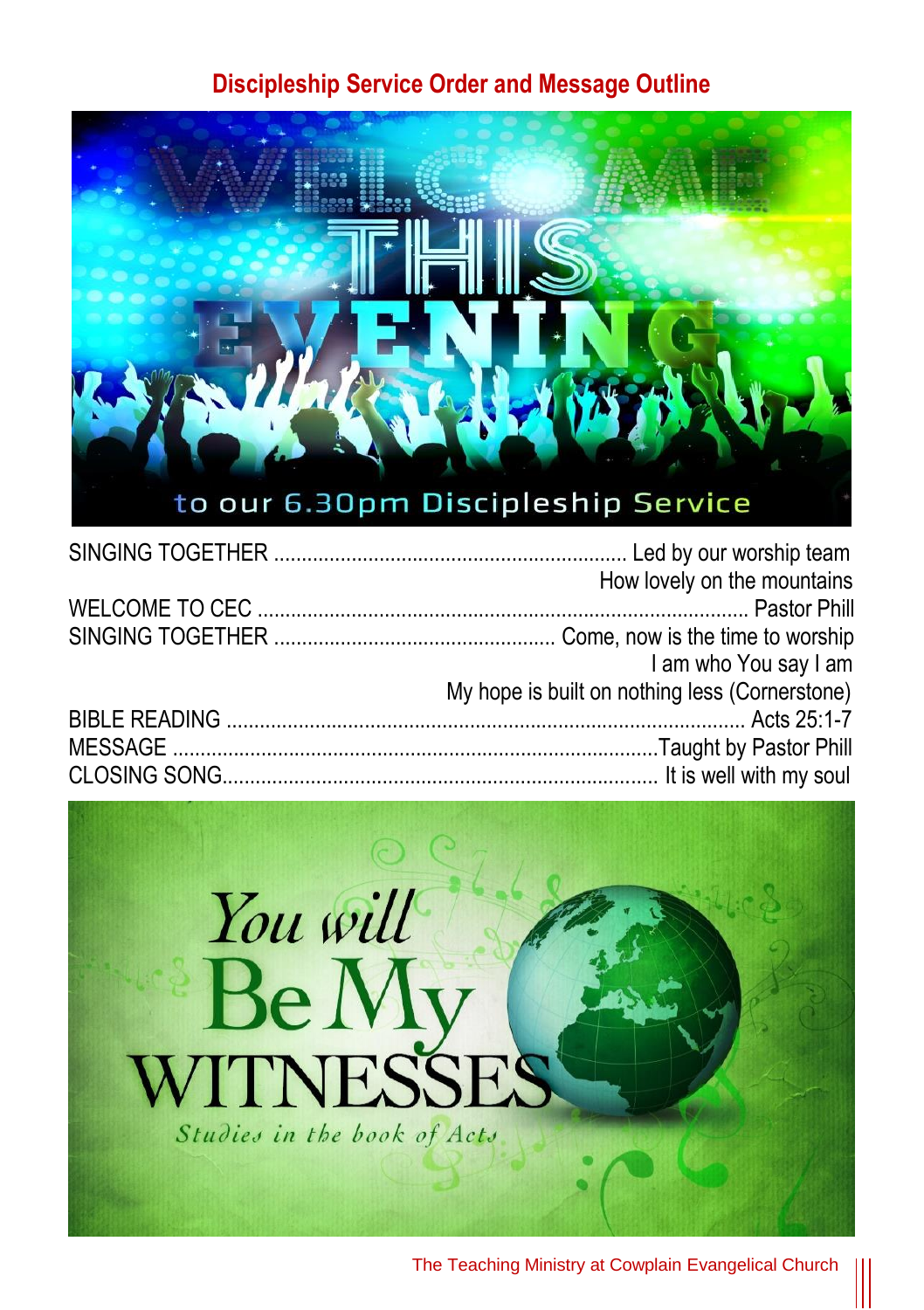## **Discipleship Service Order and Message Outline**



| How lovely on the mountains                    |
|------------------------------------------------|
|                                                |
|                                                |
| I am who You say I am                          |
| My hope is built on nothing less (Cornerstone) |
|                                                |
|                                                |
|                                                |

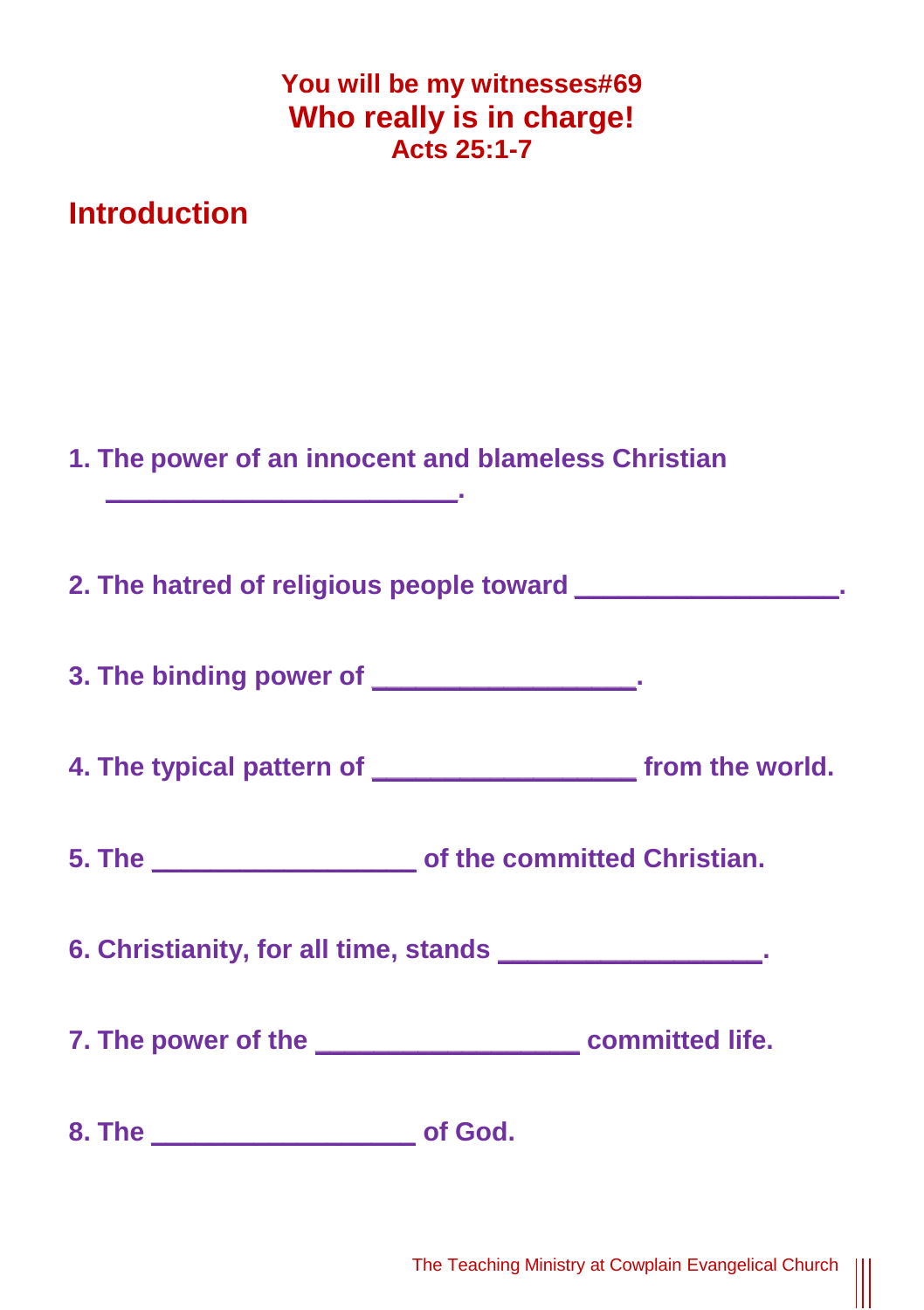| You will be my witnesses#69 |
|-----------------------------|
| Who really is in charge!    |
| <b>Acts 25:1-7</b>          |

**Introduction**

| 1. The power of an innocent and blameless Christian<br><u> 1989 - Johann Barn, mars eta biztanleria</u> |         |  |
|---------------------------------------------------------------------------------------------------------|---------|--|
| 2. The hatred of religious people toward __________________.                                            |         |  |
| 3. The binding power of _________________.                                                              |         |  |
|                                                                                                         |         |  |
|                                                                                                         |         |  |
| 6. Christianity, for all time, stands __________________.                                               |         |  |
|                                                                                                         |         |  |
|                                                                                                         | of God. |  |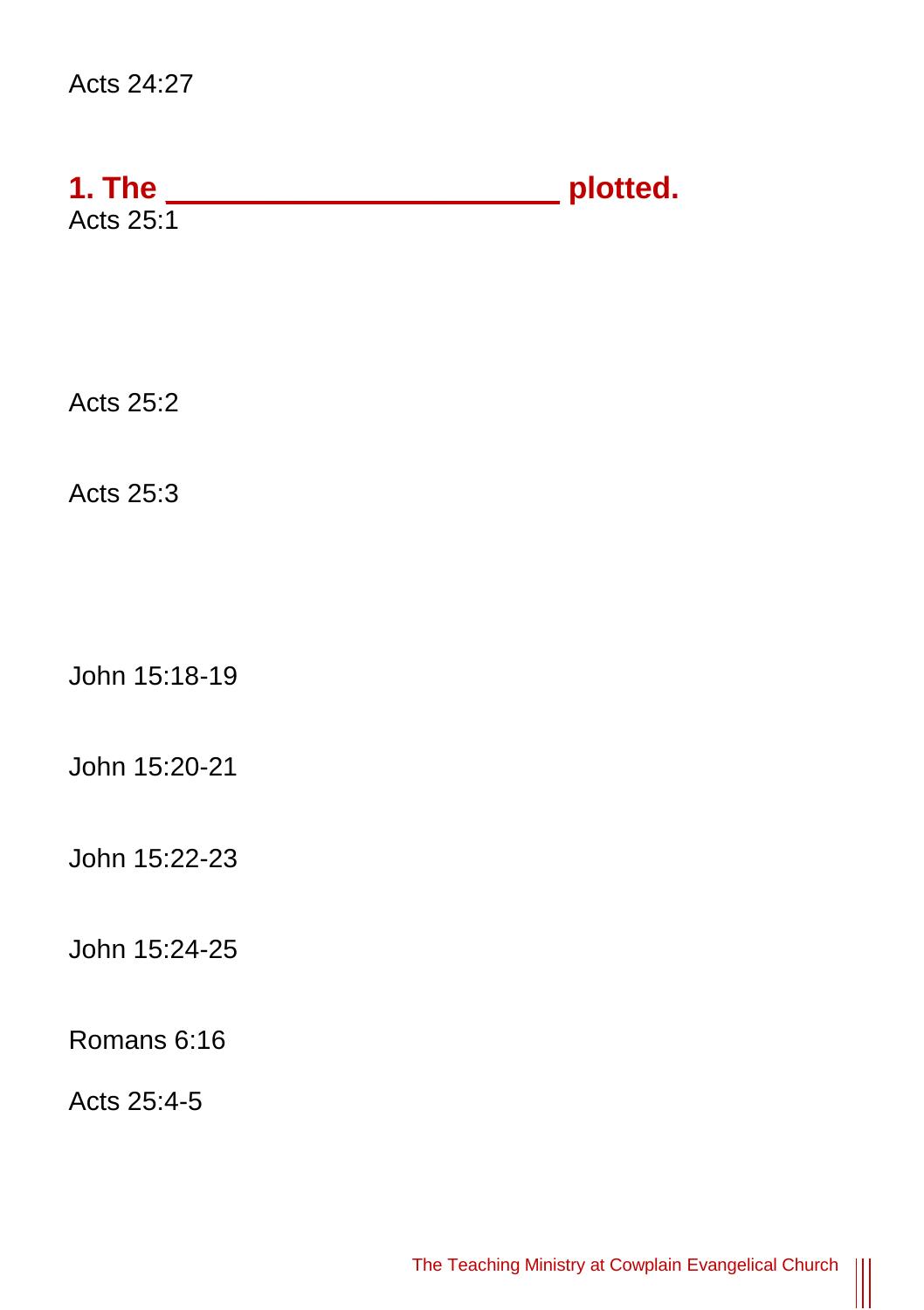## Acts 24:27

| 1. The    | plotted. |
|-----------|----------|
| Acts 25:1 |          |

Acts 25:2

Acts 25:3

John 15:18-19

John 15:20-21

John 15:22-23

John 15:24-25

Romans 6:16

Acts 25:4-5

 $\parallel$